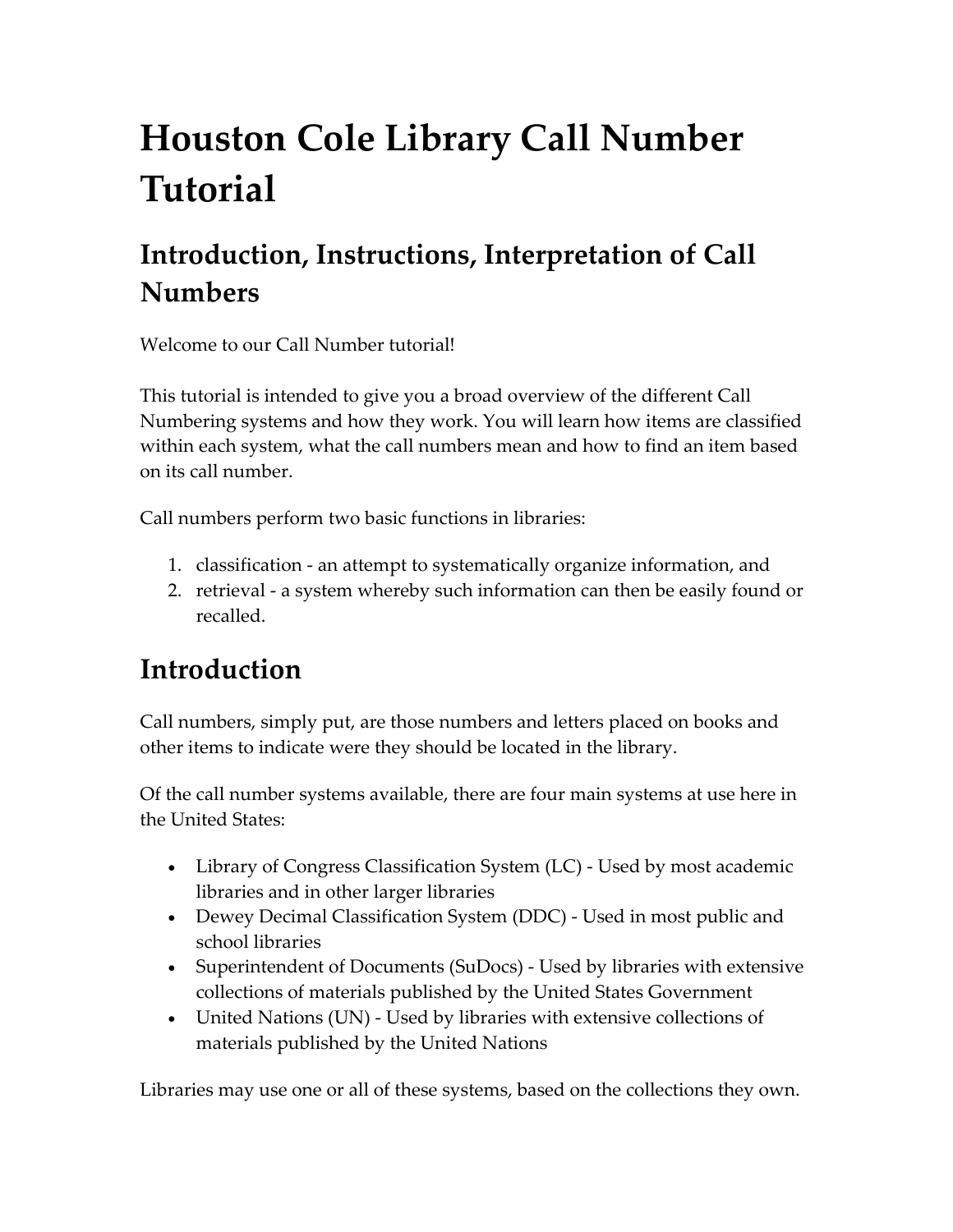# **Houston Cole Library Call Number Tutorial**

# **Introduction, Instructions, Interpretation of Call Numbers**

Welcome to our Call Number tutorial!

This tutorial is intended to give you a broad overview of the different Call Numbering systems and how they work. You will learn how items are classified within each system, what the call numbers mean and how to find an item based on its call number.

Call numbers perform two basic functions in libraries:

- 1. classification ‐ an attempt to systematically organize information, and
- 2. retrieval ‐ a system whereby such information can then be easily found or recalled.

### **Introduction**

Call numbers, simply put, are those numbers and letters placed on books and other items to indicate were they should be located in the library.

Of the call number systems available, there are four main systems at use here in the United States:

- Library of Congress Classification System (LC) Used by most academic libraries and in other larger libraries
- Dewey Decimal Classification System (DDC) ‐ Used in most public and school libraries
- Superintendent of Documents (SuDocs) Used by libraries with extensive collections of materials published by the United States Government
- United Nations (UN) Used by libraries with extensive collections of materials published by the United Nations

Libraries may use one or all of these systems, based on the collections they own.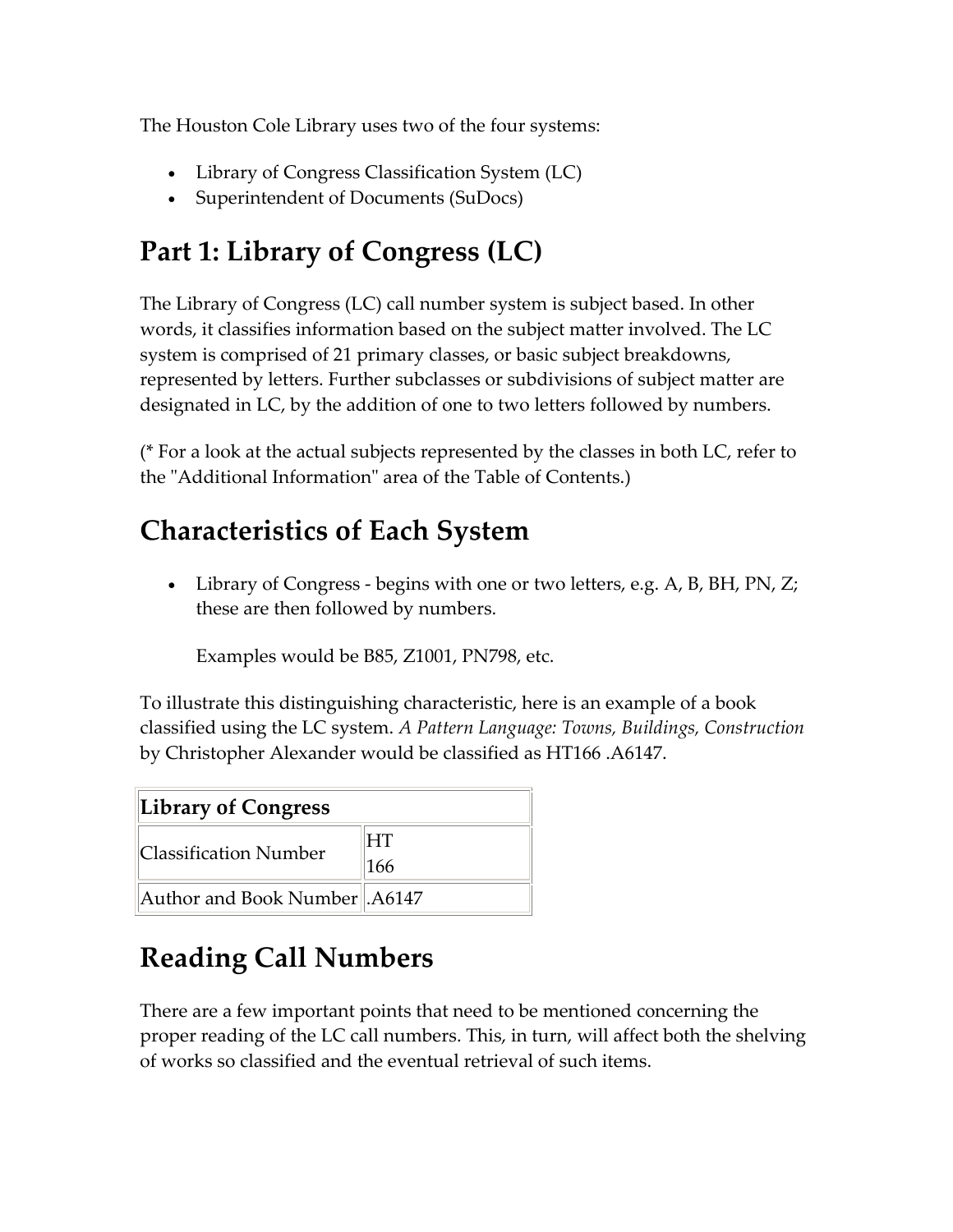The Houston Cole Library uses two of the four systems:

- Library of Congress Classification System (LC)
- Superintendent of Documents (SuDocs)

### **Part 1: Library of Congress (LC)**

The Library of Congress (LC) call number system is subject based. In other words, it classifies information based on the subject matter involved. The LC system is comprised of 21 primary classes, or basic subject breakdowns, represented by letters. Further subclasses or subdivisions of subject matter are designated in LC, by the addition of one to two letters followed by numbers.

(\* For a look at the actual subjects represented by the classes in both LC, refer to the "Additional Information" area of the Table of Contents.)

### **Characteristics of Each System**

• Library of Congress - begins with one or two letters, e.g. A, B, BH, PN, Z; these are then followed by numbers.

Examples would be B85, Z1001, PN798, etc.

To illustrate this distinguishing characteristic, here is an example of a book classified using the LC system. *A Pattern Language: Towns, Buildings, Construction* by Christopher Alexander would be classified as HT166 .A6147.

| Library of Congress              |           |
|----------------------------------|-----------|
| Classification Number            | HT<br>166 |
| Author and Book Number   . A6147 |           |

## **Reading Call Numbers**

There are a few important points that need to be mentioned concerning the proper reading of the LC call numbers. This, in turn, will affect both the shelving of works so classified and the eventual retrieval of such items.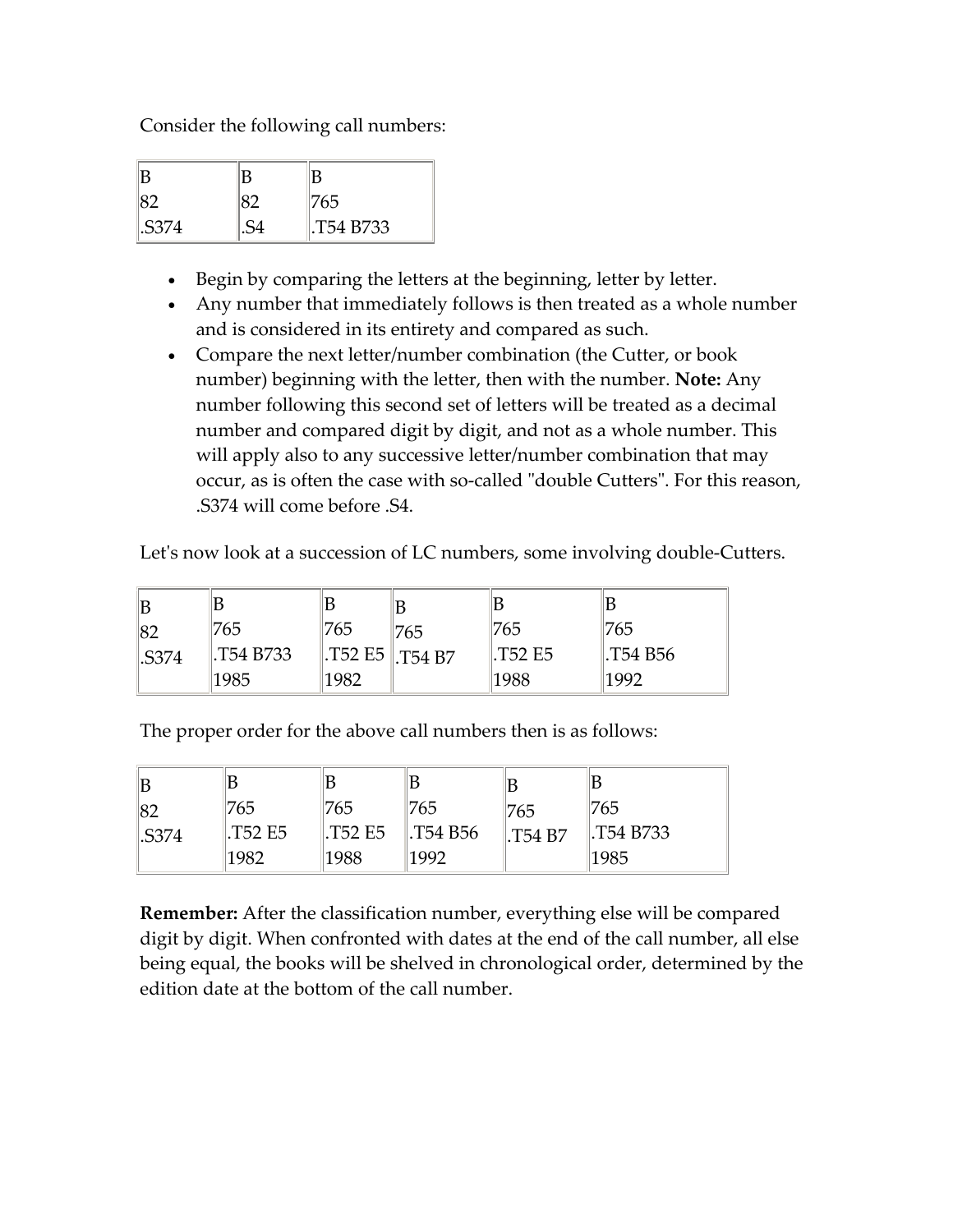Consider the following call numbers:

|       | В |            |
|-------|---|------------|
|       |   | 1765       |
| .S374 |   | I.T54 B733 |

- Begin by comparing the letters at the beginning, letter by letter.
- Any number that immediately follows is then treated as a whole number and is considered in its entirety and compared as such.
- Compare the next letter/number combination (the Cutter, or book number) beginning with the letter, then with the number. **Note:** Any number following this second set of letters will be treated as a decimal number and compared digit by digit, and not as a whole number. This will apply also to any successive letter/number combination that may occur, as is often the case with so-called "double Cutters". For this reason, .S374 will come before .S4.

Let's now look at a succession of LC numbers, some involving double-Cutters.

| 87   | '765      | 765  | 765                                     | 765                            | '765    |
|------|-----------|------|-----------------------------------------|--------------------------------|---------|
| S374 | T54 B733. |      | $\parallel$ .T52 E5 $\parallel$ .T54 B7 | T <sub>52</sub> E <sub>5</sub> | T54 B56 |
|      | 1985      | 1982 |                                         | 1988                           | 1992    |

The proper order for the above call numbers then is as follows:

| ΙB          |        |         |                      |                 |            |
|-------------|--------|---------|----------------------|-----------------|------------|
| 82          | 765    | '765    | 765                  | 765             | 1765       |
| <b>S374</b> | T52 E5 | .T52 E5 | $\parallel$ .T54 B56 | $\vert$ .T54 B7 | I.T54 B733 |
|             | 1982   | 1988    | 1992                 |                 | 1985       |

**Remember:** After the classification number, everything else will be compared digit by digit. When confronted with dates at the end of the call number, all else being equal, the books will be shelved in chronological order, determined by the edition date at the bottom of the call number.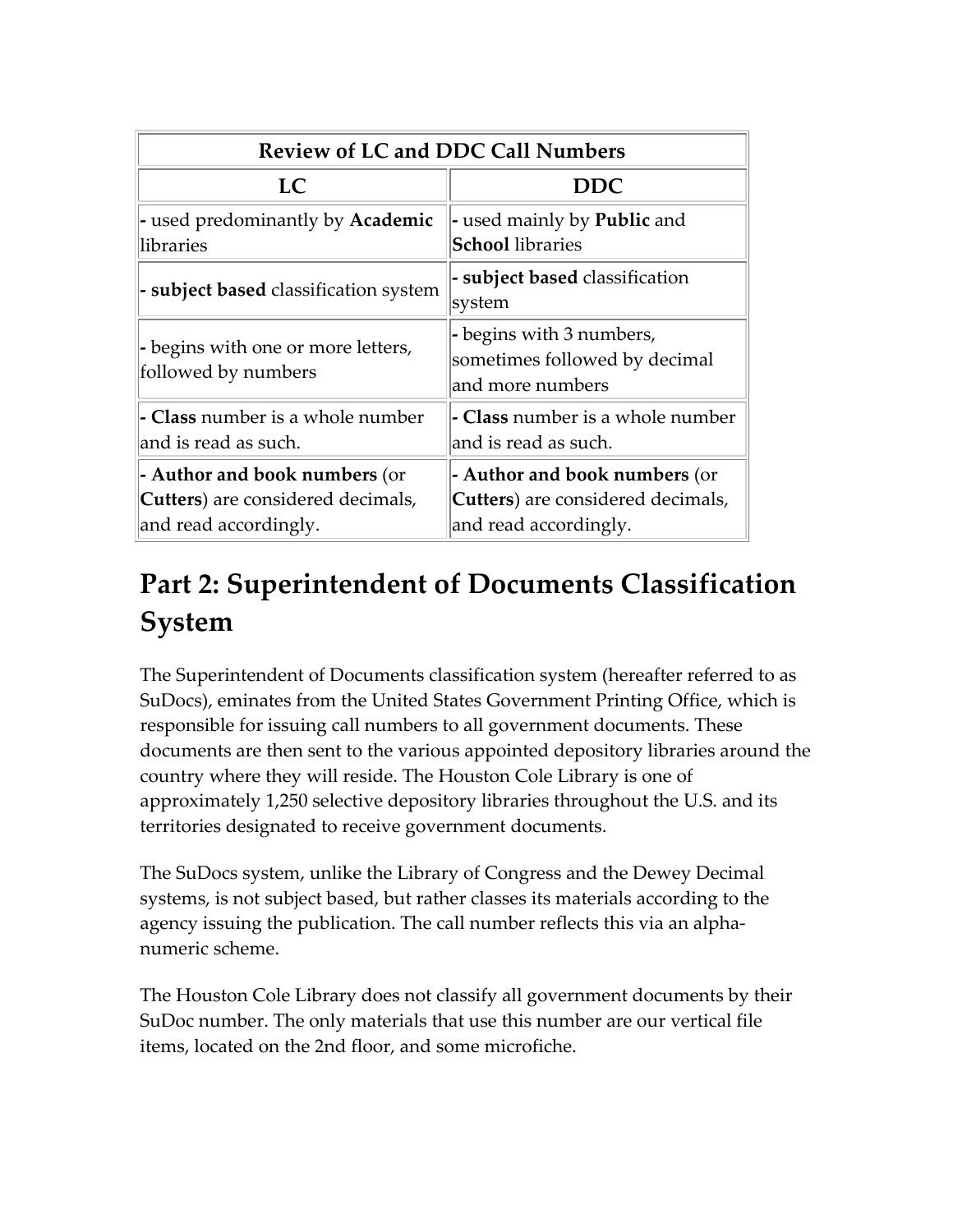| <b>Review of LC and DDC Call Numbers</b>                                                    |                                                                                             |  |  |
|---------------------------------------------------------------------------------------------|---------------------------------------------------------------------------------------------|--|--|
| LC                                                                                          | <b>DDC</b>                                                                                  |  |  |
| - used predominantly by <b>Academic</b><br>libraries                                        | - used mainly by <b>Public</b> and<br><b>School</b> libraries                               |  |  |
| - subject based classification system                                                       | - subject based classification<br>system                                                    |  |  |
| - begins with one or more letters,<br>followed by numbers                                   | - begins with 3 numbers,<br>sometimes followed by decimal<br>and more numbers               |  |  |
| - Class number is a whole number<br>and is read as such.                                    | - Class number is a whole number<br>and is read as such.                                    |  |  |
| - Author and book numbers (or<br>Cutters) are considered decimals,<br>and read accordingly. | - Author and book numbers (or<br>Cutters) are considered decimals,<br>and read accordingly. |  |  |

# **Part 2: Superintendent of Documents Classification System**

The Superintendent of Documents classification system (hereafter referred to as SuDocs), eminates from the United States Government Printing Office, which is responsible for issuing call numbers to all government documents. These documents are then sent to the various appointed depository libraries around the country where they will reside. The Houston Cole Library is one of approximately 1,250 selective depository libraries throughout the U.S. and its territories designated to receive government documents.

The SuDocs system, unlike the Library of Congress and the Dewey Decimal systems, is not subject based, but rather classes its materials according to the agency issuing the publication. The call number reflects this via an alpha‐ numeric scheme.

The Houston Cole Library does not classify all government documents by their SuDoc number. The only materials that use this number are our vertical file items, located on the 2nd floor, and some microfiche.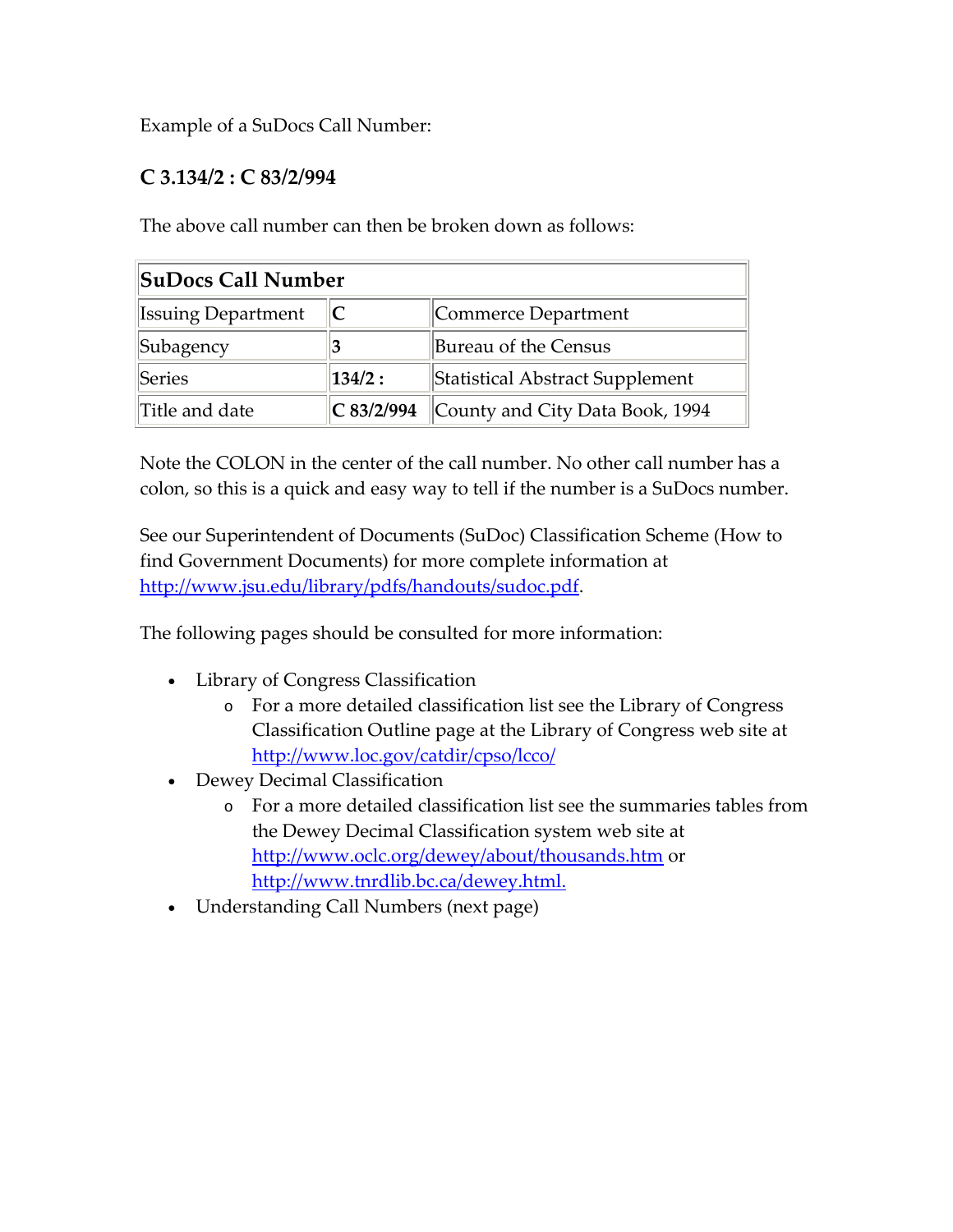Example of a SuDocs Call Number:

### **C 3.134/2 : C 83/2/994**

The above call number can then be broken down as follows:

| SuDocs Call Number        |            |                                 |  |
|---------------------------|------------|---------------------------------|--|
| <b>Issuing Department</b> |            | Commerce Department             |  |
| Subagency                 | 13         | Bureau of the Census            |  |
| Series                    | 134/2:     | Statistical Abstract Supplement |  |
| Title and date            | C 83/2/994 | County and City Data Book, 1994 |  |

Note the COLON in the center of the call number. No other call number has a colon, so this is a quick and easy way to tell if the number is a SuDocs number.

See our Superintendent of Documents (SuDoc) Classification Scheme (How to find Government Documents) for more complete information at http://www.jsu.edu/library/pdfs/handouts/sudoc.pdf.

The following pages should be consulted for more information:

- Library of Congress Classification
	- o For a more detailed classification list see the Library of Congress Classification Outline page at the Library of Congress web site at http://www.loc.gov/catdir/cpso/lcco/
- Dewey Decimal Classification
	- o For a more detailed classification list see the summaries tables from the Dewey Decimal Classification system web site at http://www.oclc.org/dewey/about/thousands.htm or http://www.tnrdlib.bc.ca/dewey.html.
- Understanding Call Numbers (next page)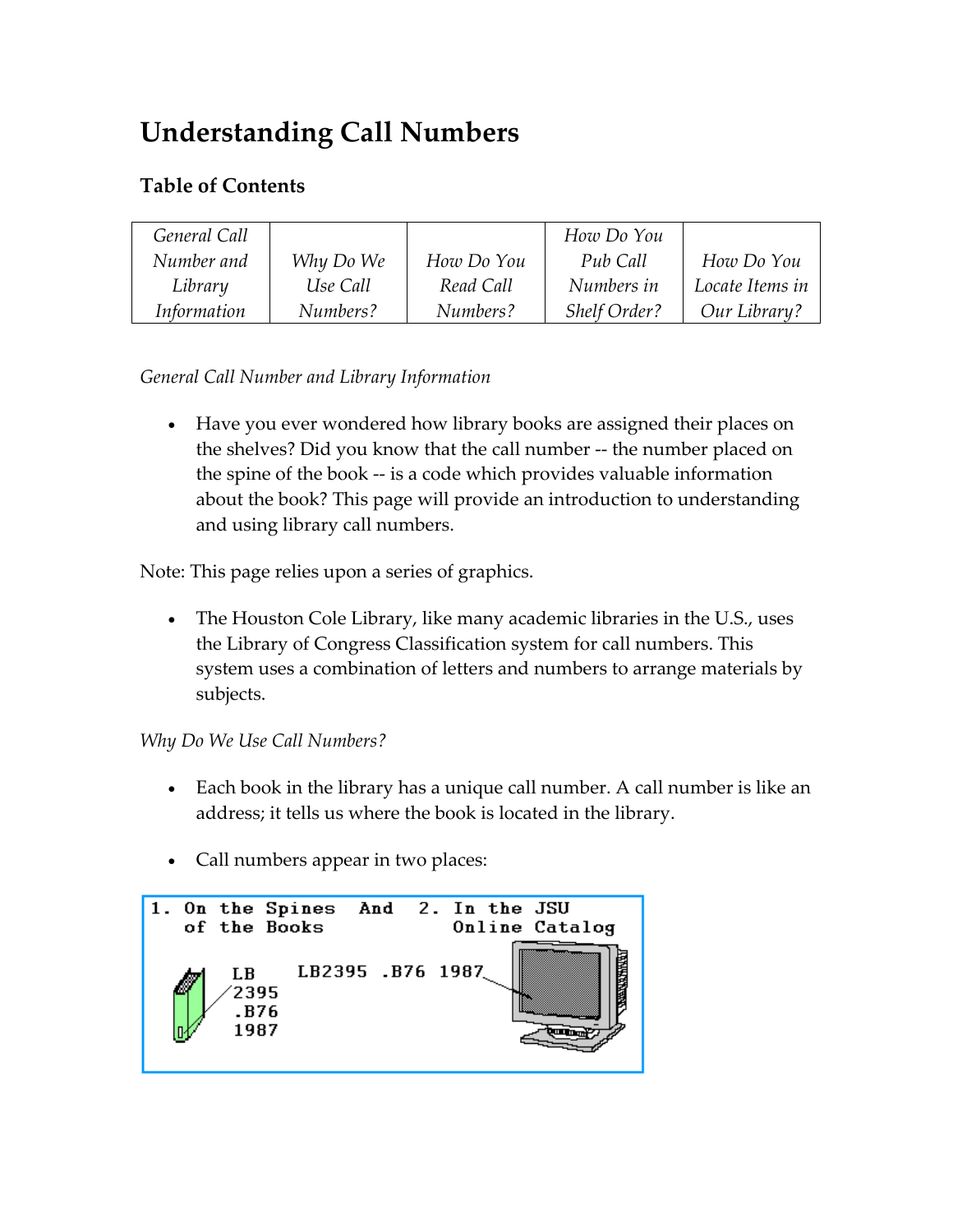## **Understanding Call Numbers**

### **Table of Contents**

| General Call |           |            | How Do You          |                 |
|--------------|-----------|------------|---------------------|-----------------|
| Number and   | Why Do We | How Do You | Pub Call            | How Do You      |
| Library      | Use Call  | Read Call  | Numbers in          | Locate Items in |
| Information  | Numbers?  | Numbers?   | <b>Shelf Order?</b> | Our Library?    |

*General Call Number and Library Information*

• Have you ever wondered how library books are assigned their places on the shelves? Did you know that the call number ‐‐ the number placed on the spine of the book ‐‐ is a code which provides valuable information about the book? This page will provide an introduction to understanding and using library call numbers.

Note: This page relies upon a series of graphics.

• The Houston Cole Library, like many academic libraries in the U.S., uses the Library of Congress Classification system for call numbers. This system uses a combination of letters and numbers to arrange materials by subjects.

#### *Why Do We Use Call Numbers?*

- Each book in the library has a unique call number. A call number is like an address; it tells us where the book is located in the library.
- Call numbers appear in two places:

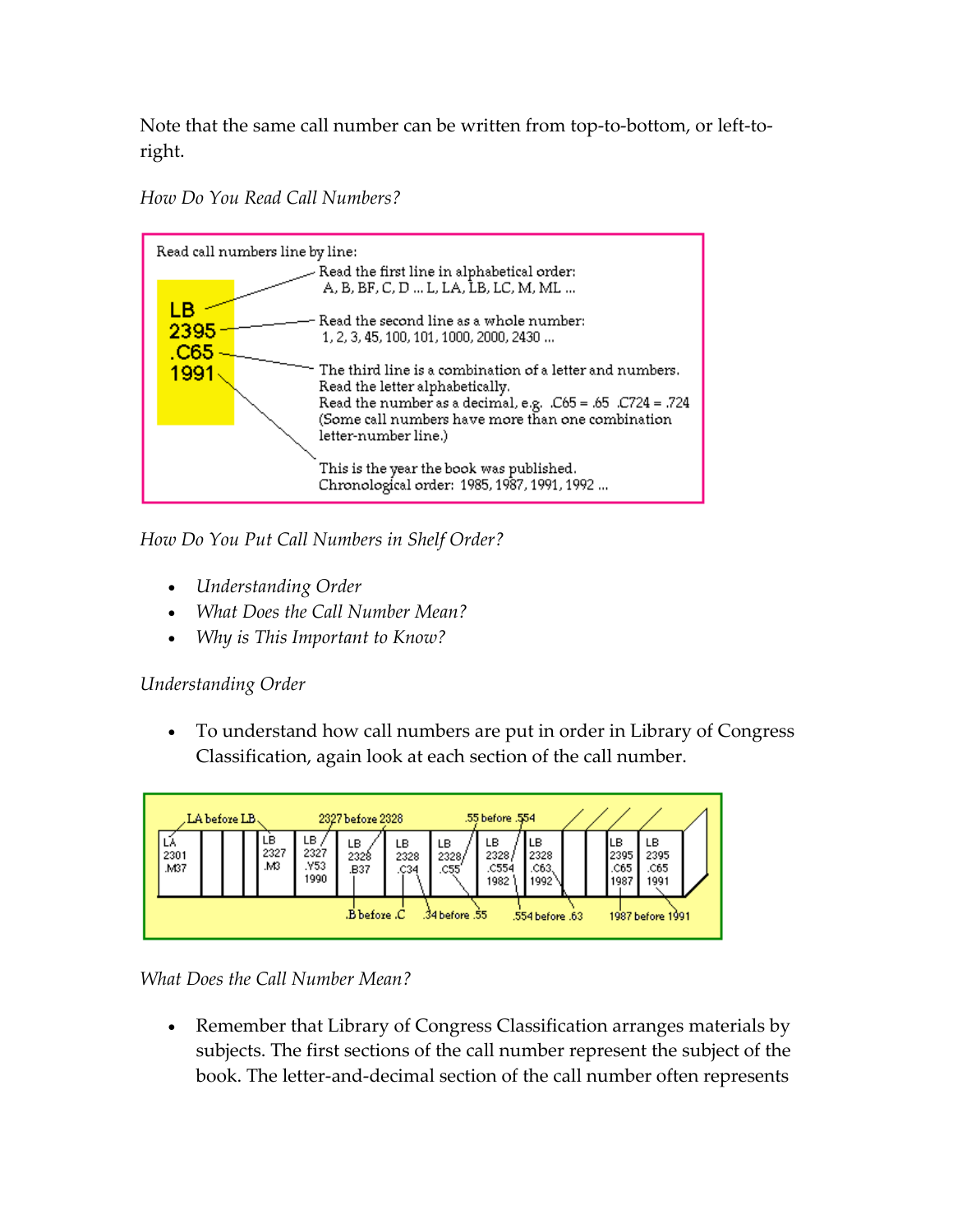Note that the same call number can be written from top-to-bottom, or left-toright.

*How Do You Read Call Numbers?*



*How Do You Put Call Numbers in Shelf Order?*

- *Understanding Order*
- *What Does the Call Number Mean?*
- *Why is This Important to Know?*

### *Understanding Order*

• To understand how call numbers are put in order in Library of Congress Classification, again look at each section of the call number.



*What Does the Call Number Mean?*

• Remember that Library of Congress Classification arranges materials by subjects. The first sections of the call number represent the subject of the book. The letter‐and‐decimal section of the call number often represents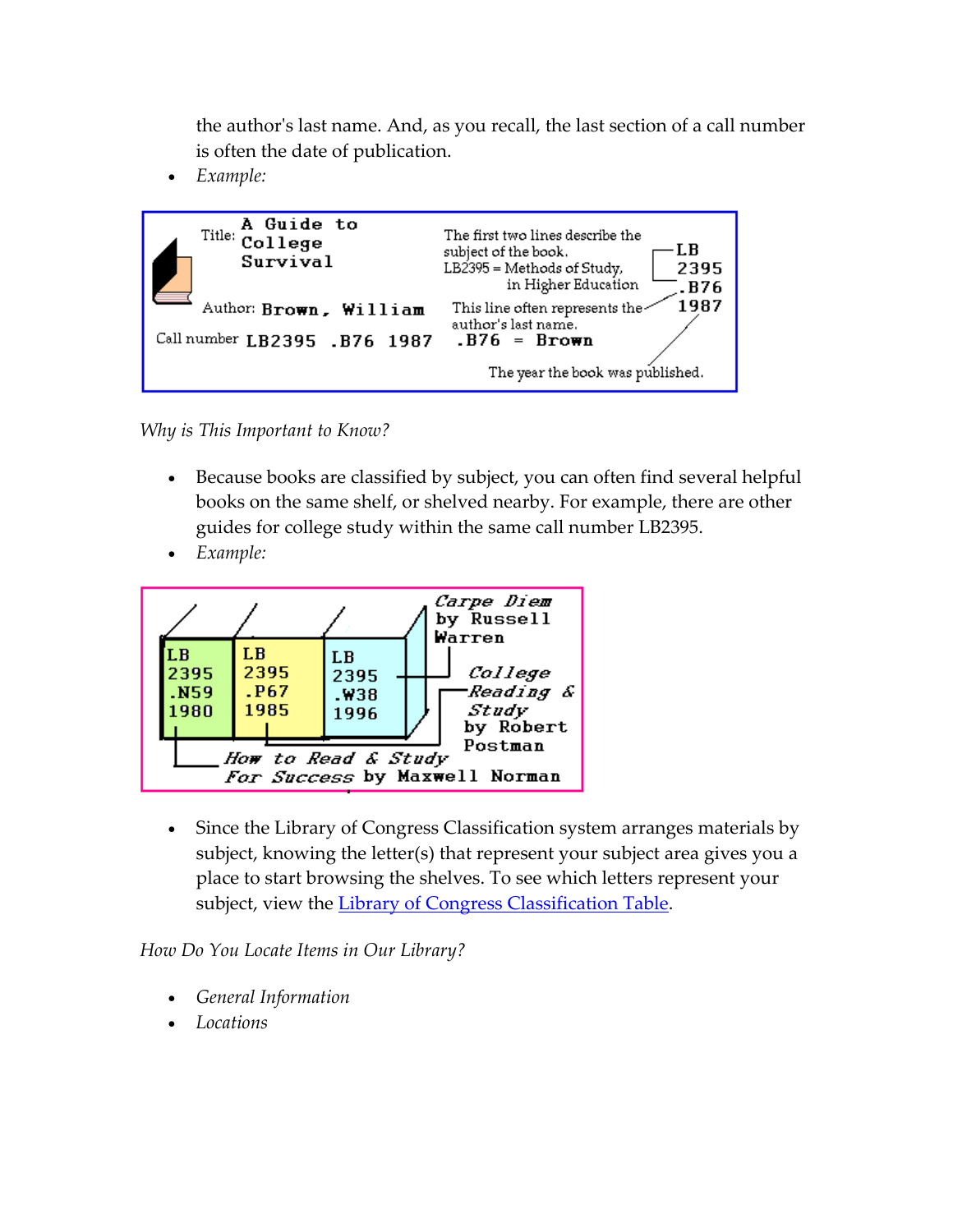the authorʹs last name. And, as you recall, the last section of a call number is often the date of publication.

• *Example:*



*Why is This Important to Know?*

- Because books are classified by subject, you can often find several helpful books on the same shelf, or shelved nearby. For example, there are other guides for college study within the same call number LB2395.
- *Example:*



• Since the Library of Congress Classification system arranges materials by subject, knowing the letter(s) that represent your subject area gives you a place to start browsing the shelves. To see which letters represent your subject, view the Library of Congress [Classification](http://www.loc.gov/catdir/cpso/lcco/) Table.

*How Do You Locate Items in Our Library?*

- *General Information*
- *Locations*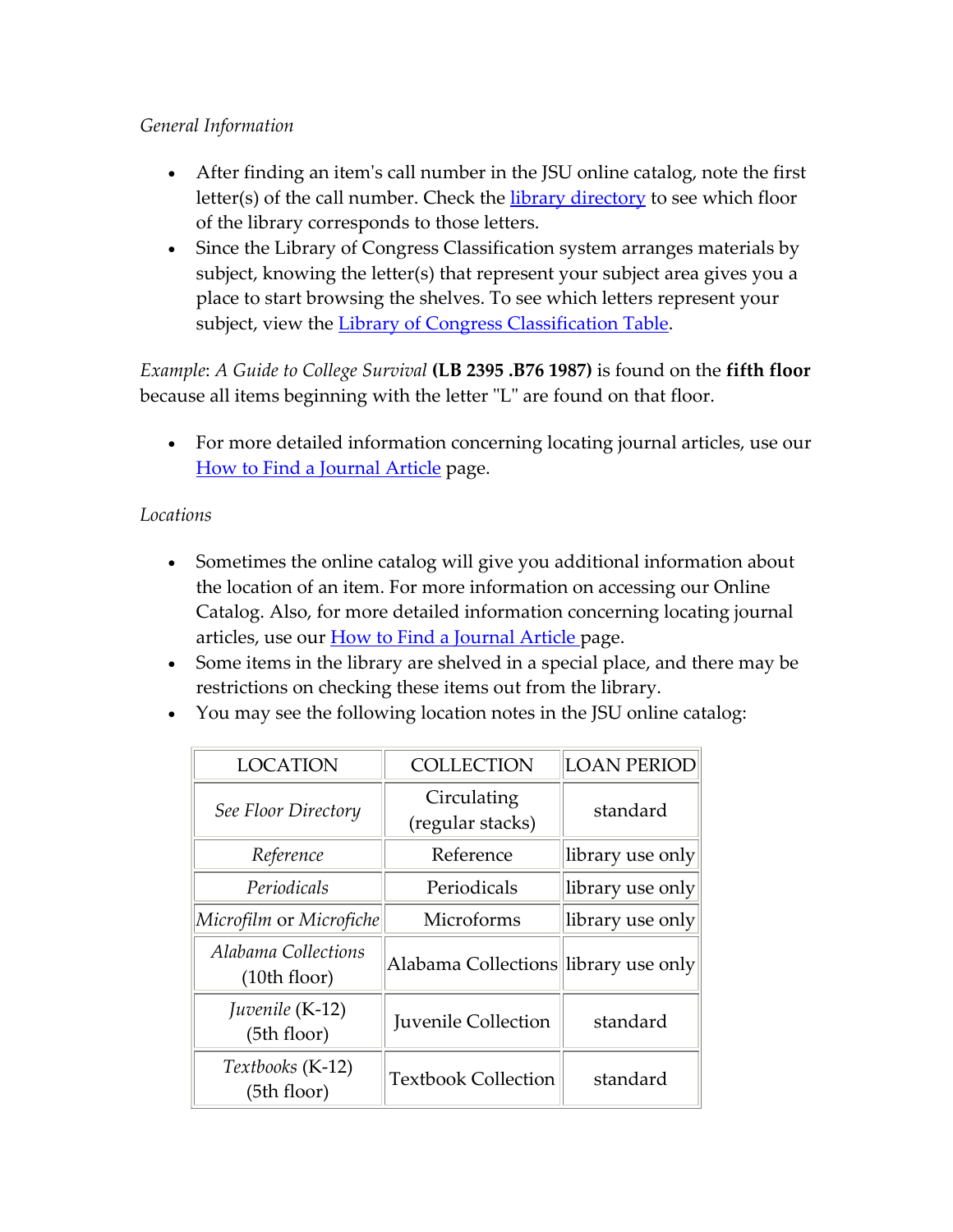#### *General Information*

- After finding an item's call number in the JSU online catalog, note the first letter(s) of the call number. Check the library [directory](http://www.jsu.edu/library/pdfs/HCLfloordirectory.pdf) to see which floor of the library corresponds to those letters.
- Since the Library of Congress Classification system arranges materials by subject, knowing the letter(s) that represent your subject area gives you a place to start browsing the shelves. To see which letters represent your subject, view the Library of Congress [Classification](http://www.loc.gov/catdir/cpso/lcco/) Table.

*Example*: *A Guide to College Survival* **(LB 2395 .B76 1987)** is found on the **fifth floor** because all items beginning with the letter "L" are found on that floor.

• For more detailed information concerning locating journal articles, use our How to Find a [Journal](http://www.jsu.edu/library/research/finding_journal_articles.html) Article page.

#### *Locations*

- Sometimes the online catalog will give you additional information about the location of an item. For more information on accessing our Online Catalog. Also, for more detailed information concerning locating journal articles, use our **How to Find a [Journal](http://www.jsu.edu/library/research/finding_journal_articles.html) Article** page.
- Some items in the library are shelved in a special place, and there may be restrictions on checking these items out from the library.
- You may see the following location notes in the JSU online catalog:

| <b>LOCATION</b>                     | <b>COLLECTION</b>                    | <b>LOAN PERIOD</b> |
|-------------------------------------|--------------------------------------|--------------------|
| See Floor Directory                 | Circulating<br>(regular stacks)      | standard           |
| Reference                           | Reference                            | library use only   |
| Periodicals                         | Periodicals                          | library use only   |
| Microfilm or Microfiche             | Microforms                           | library use only   |
| Alabama Collections<br>(10th floor) | Alabama Collections library use only |                    |
| Juvenile (K-12)<br>(5th floor)      | <b>Juvenile Collection</b>           | standard           |
| Textbooks (K-12)<br>(5th floor)     | <b>Textbook Collection</b>           | standard           |